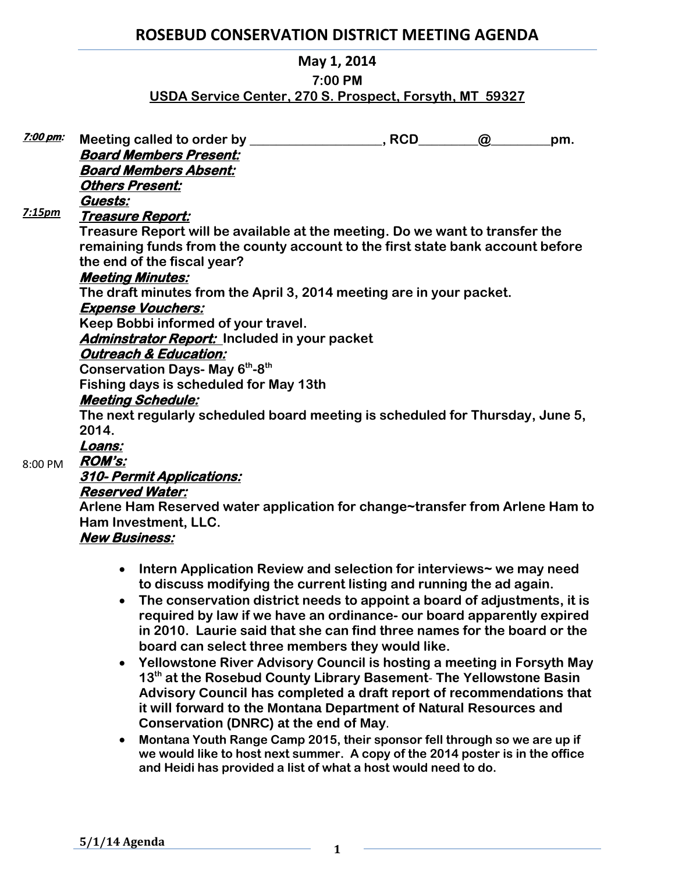# **ROSEBUD CONSERVATION DISTRICT MEETING AGENDA**

### **May 1, 2014**

#### **7:00 PM**

# **USDA Service Center, 270 S. Prospect, Forsyth, MT 59327**

| <u>7:00 pm:</u> | Meeting called to order by _                                                   | , RCD | $\omega$ | pm. |
|-----------------|--------------------------------------------------------------------------------|-------|----------|-----|
|                 | <b>Board Members Present:</b>                                                  |       |          |     |
|                 | <b>Board Members Absent:</b>                                                   |       |          |     |
|                 | <b>Others Present:</b>                                                         |       |          |     |
|                 | Guests:                                                                        |       |          |     |
| 7:15pm          | <u> Treasure Report:</u>                                                       |       |          |     |
|                 | Treasure Report will be available at the meeting. Do we want to transfer the   |       |          |     |
|                 | remaining funds from the county account to the first state bank account before |       |          |     |
|                 | the end of the fiscal year?                                                    |       |          |     |
|                 | <b>Meeting Minutes:</b>                                                        |       |          |     |
|                 | The draft minutes from the April 3, 2014 meeting are in your packet.           |       |          |     |
|                 | <b>Expense Vouchers:</b>                                                       |       |          |     |
|                 | Keep Bobbi informed of your travel.                                            |       |          |     |
|                 | <b>Adminstrator Report:</b> Included in your packet                            |       |          |     |
|                 | <b>Outreach &amp; Education:</b>                                               |       |          |     |
|                 | Conservation Days- May 6 <sup>th</sup> -8 <sup>th</sup>                        |       |          |     |
|                 | Fishing days is scheduled for May 13th                                         |       |          |     |
|                 | <b>Meeting Schedule:</b>                                                       |       |          |     |
|                 | The next regularly scheduled board meeting is scheduled for Thursday, June 5,  |       |          |     |
|                 | 2014.                                                                          |       |          |     |
|                 | Loans:                                                                         |       |          |     |
| 8:00 PM         | <b>ROM's:</b>                                                                  |       |          |     |
|                 | AJA M.                                                                         |       |          |     |

**310- Permit Applications:** 

# **Reserved Water:**

**Arlene Ham Reserved water application for change~transfer from Arlene Ham to Ham Investment, LLC.**

# **New Business:**

- **Intern Application Review and selection for interviews~ we may need to discuss modifying the current listing and running the ad again.**
- **The conservation district needs to appoint a board of adjustments, it is required by law if we have an ordinance- our board apparently expired in 2010. Laurie said that she can find three names for the board or the board can select three members they would like.**
- **Yellowstone River Advisory Council is hosting a meeting in Forsyth May 13th at the Rosebud County Library Basement**- **The Yellowstone Basin Advisory Council has completed a draft report of recommendations that it will forward to the Montana Department of Natural Resources and Conservation (DNRC) at the end of May**.
- **Montana Youth Range Camp 2015, their sponsor fell through so we are up if we would like to host next summer. A copy of the 2014 poster is in the office and Heidi has provided a list of what a host would need to do.**